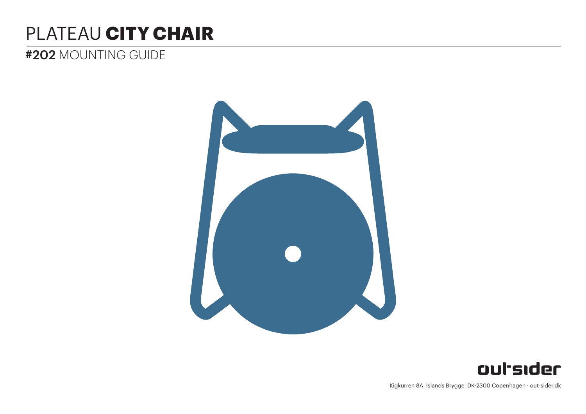# PLATEAU **CITY CHAIR**

# #202 MOUNTING GUIDE





Kigkurren 8A Islands Brygge DK-2300 Copenhagen · out-sider.dk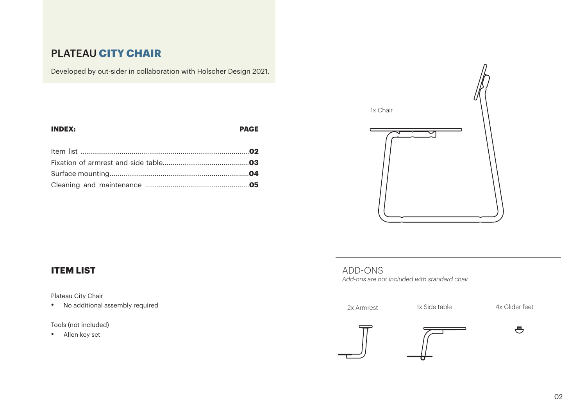# PLATEAU **CITY CHAIR**

Developed by out-sider in collaboration with Holscher Design 2021.

| <b>INDEX:</b> | <b>PAGE</b> |
|---------------|-------------|
|               |             |
|               |             |
|               |             |
|               |             |



# **ITEM LIST**

Plateau City Chair

• No additional assembly required

Tools (not included)

• Allen key set

#### ADD-ONS *Add-ons are not included with standard chair*





 $\bigoplus$ 

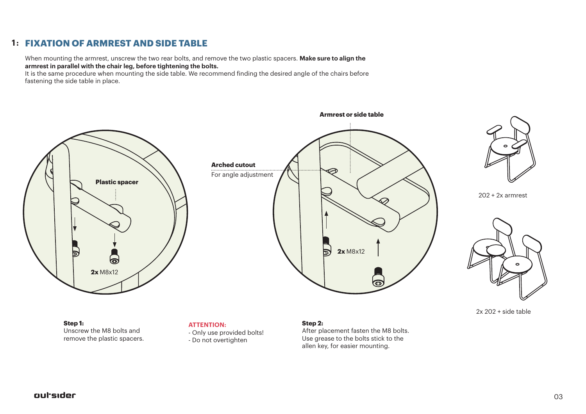## **FIXATION OF ARMREST AND SIDE TABLE 1 :**

When mounting the armrest, unscrew the two rear bolts, and remove the two plastic spacers. **Make sure to align the armrest in parallel with the chair leg, before tightening the bolts.**

It is the same procedure when mounting the side table. We recommend finding the desired angle of the chairs before fastening the side table in place.



Unscrew the M8 bolts and remove the plastic spacers.

- Only use provided bolts!

- Do not overtighten

After placement fasten the M8 bolts. Use grease to the bolts stick to the allen key, for easier mounting.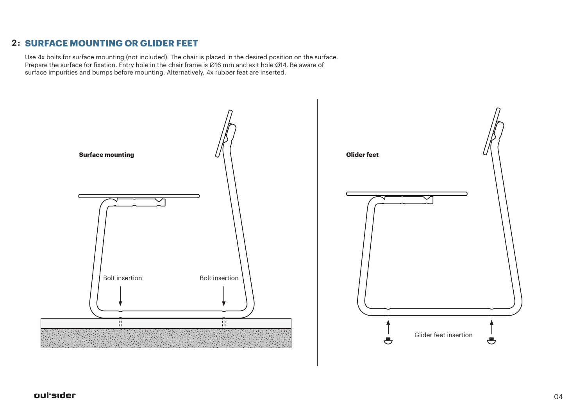# **SURFACE MOUNTING OR GLIDER FEET 2 :**

Use 4x bolts for surface mounting (not included). The chair is placed in the desired position on the surface. Prepare the surface for fixation. Entry hole in the chair frame is Ø16 mm and exit hole Ø14. Be aware of surface impurities and bumps before mounting. Alternatively, 4x rubber feat are inserted.